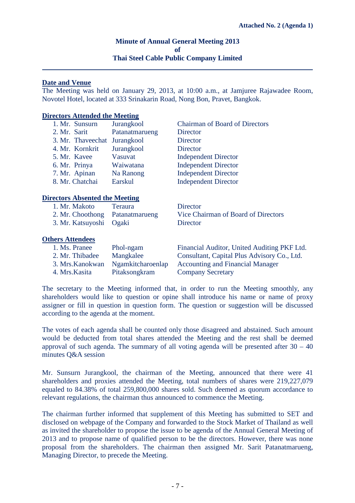# **Minute of Annual General Meeting 2013 of Thai Steel Cable Public Company Limited**

## **Date and Venue**

The Meeting was held on January 29, 2013, at 10:00 a.m., at Jamjuree Rajawadee Room, Novotel Hotel, located at 333 Srinakarin Road, Nong Bon, Pravet, Bangkok.

#### **Directors Attended the Meeting**

| 1. Mr. Sunsurn               | Jurangkool     | <b>Chairman of Board of Directors</b> |
|------------------------------|----------------|---------------------------------------|
| 2. Mr. Sarit                 | Patanatmarueng | Director                              |
| 3. Mr. Thaveechat Jurangkool |                | <b>Director</b>                       |
| 4. Mr. Kornkrit              | Jurangkool     | <b>Director</b>                       |
| 5. Mr. Kavee                 | Vasuvat        | <b>Independent Director</b>           |
| 6. Mr. Prinya                | Waiwatana      | <b>Independent Director</b>           |
| 7. Mr. Apinan                | Na Ranong      | <b>Independent Director</b>           |
| 8. Mr. Chatchai              | Earskul        | <b>Independent Director</b>           |

#### **Directors Absented the Meeting**

| 1. Mr. Makoto                   | <b>Teraura</b> | Director                            |
|---------------------------------|----------------|-------------------------------------|
| 2. Mr. Choothong Patanatmarueng |                | Vice Chairman of Board of Directors |
| 3. Mr. Katsuyoshi Ogaki         |                | Director                            |

#### **Others Attendees**

| 1. Ms. Pranee    | Phol-ngam         | Financial Auditor, United Auditing PKF Ltd. |
|------------------|-------------------|---------------------------------------------|
| 2. Mr. Thibadee  | Mangkalee         | Consultant, Capital Plus Advisory Co., Ltd. |
| 3. Mrs. Kanokwan | Ngamkitcharoenlap | <b>Accounting and Financial Manager</b>     |
| 4. Mrs. Kasita   | Pitaksongkram     | <b>Company Secretary</b>                    |

The secretary to the Meeting informed that, in order to run the Meeting smoothly, any shareholders would like to question or opine shall introduce his name or name of proxy assigner or fill in question in question form. The question or suggestion will be discussed according to the agenda at the moment.

The votes of each agenda shall be counted only those disagreed and abstained. Such amount would be deducted from total shares attended the Meeting and the rest shall be deemed approval of such agenda. The summary of all voting agenda will be presented after  $30 - 40$ minutes Q&A session

Mr. Sunsurn Jurangkool, the chairman of the Meeting, announced that there were 41 shareholders and proxies attended the Meeting, total numbers of shares were 219,227,079 equaled to 84.38% of total 259,800,000 shares sold. Such deemed as quorum accordance to relevant regulations, the chairman thus announced to commence the Meeting.

The chairman further informed that supplement of this Meeting has submitted to SET and disclosed on webpage of the Company and forwarded to the Stock Market of Thailand as well as invited the shareholder to propose the issue to be agenda of the Annual General Meeting of 2013 and to propose name of qualified person to be the directors. However, there was none proposal from the shareholders. The chairman then assigned Mr. Sarit Patanatmarueng, Managing Director, to precede the Meeting.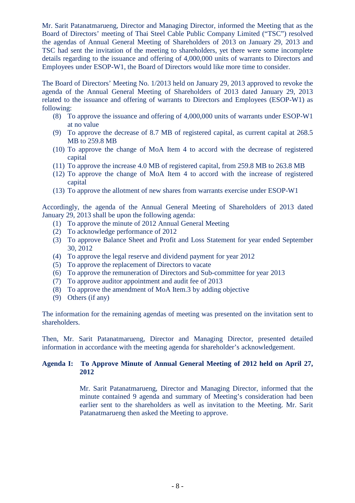Mr. Sarit Patanatmarueng, Director and Managing Director, informed the Meeting that as the Board of Directors' meeting of Thai Steel Cable Public Company Limited ("TSC") resolved the agendas of Annual General Meeting of Shareholders of 2013 on January 29, 2013 and TSC had sent the invitation of the meeting to shareholders, yet there were some incomplete details regarding to the issuance and offering of 4,000,000 units of warrants to Directors and Employees under ESOP-W1, the Board of Directors would like more time to consider.

The Board of Directors' Meeting No. 1/2013 held on January 29, 2013 approved to revoke the agenda of the Annual General Meeting of Shareholders of 2013 dated January 29, 2013 related to the issuance and offering of warrants to Directors and Employees (ESOP-W1) as following:

- (8) To approve the issuance and offering of 4,000,000 units of warrants under ESOP-W1 at no value
- (9) To approve the decrease of 8.7 MB of registered capital, as current capital at 268.5 MB to 259.8 MB
- (10) To approve the change of MoA Item 4 to accord with the decrease of registered capital
- (11) To approve the increase 4.0 MB of registered capital, from 259.8 MB to 263.8 MB
- (12) To approve the change of MoA Item 4 to accord with the increase of registered capital
- (13) To approve the allotment of new shares from warrants exercise under ESOP-W1

Accordingly, the agenda of the Annual General Meeting of Shareholders of 2013 dated January 29, 2013 shall be upon the following agenda:

- (1) To approve the minute of 2012 Annual General Meeting
- (2) To acknowledge performance of 2012
- (3) To approve Balance Sheet and Profit and Loss Statement for year ended September 30, 2012
- (4) To approve the legal reserve and dividend payment for year 2012
- (5) To approve the replacement of Directors to vacate
- (6) To approve the remuneration of Directors and Sub-committee for year 2013
- (7) To approve auditor appointment and audit fee of 2013
- (8) To approve the amendment of MoA Item.3 by adding objective
- (9) Others (if any)

The information for the remaining agendas of meeting was presented on the invitation sent to shareholders.

Then, Mr. Sarit Patanatmarueng, Director and Managing Director, presented detailed information in accordance with the meeting agenda for shareholder's acknowledgement.

# **Agenda I: To Approve Minute of Annual General Meeting of 2012 held on April 27, 2012**

Mr. Sarit Patanatmarueng, Director and Managing Director, informed that the minute contained 9 agenda and summary of Meeting's consideration had been earlier sent to the shareholders as well as invitation to the Meeting. Mr. Sarit Patanatmarueng then asked the Meeting to approve.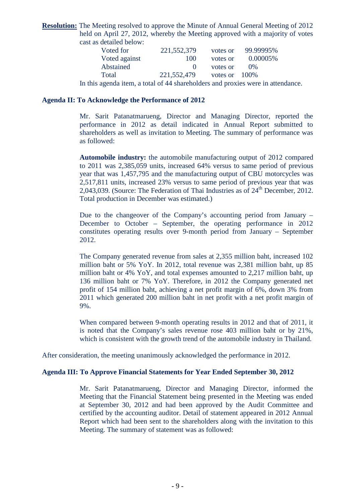**Resolution:** The Meeting resolved to approve the Minute of Annual General Meeting of 2012 held on April 27, 2012, whereby the Meeting approved with a majority of votes cast as detailed below:

| Voted for                                                                       | 221,552,379  | votes or         | 99.99995% |  |
|---------------------------------------------------------------------------------|--------------|------------------|-----------|--|
| Voted against                                                                   | 100          | votes or         | 0.00005%  |  |
| Abstained                                                                       | $\mathbf{U}$ | votes or         | $0\%$     |  |
| Total                                                                           | 221,552,479  | votes or $100\%$ |           |  |
| In this agenda item, a total of 44 shareholders and proxies were in attendance. |              |                  |           |  |

## **Agenda II: To Acknowledge the Performance of 2012**

Mr. Sarit Patanatmarueng, Director and Managing Director, reported the performance in 2012 as detail indicated in Annual Report submitted to shareholders as well as invitation to Meeting. The summary of performance was as followed:

**Automobile industry:** the automobile manufacturing output of 2012 compared to 2011 was 2,385,059 units, increased 64% versus to same period of previous year that was 1,457,795 and the manufacturing output of CBU motorcycles was 2,517,811 units, increased 23% versus to same period of previous year that was 2,043,039. (Source: The Federation of Thai Industries as of  $24<sup>th</sup>$  December, 2012. Total production in December was estimated.)

Due to the changeover of the Company's accounting period from January – December to October – September, the operating performance in 2012 constitutes operating results over 9-month period from January – September 2012.

The Company generated revenue from sales at 2,355 million baht, increased 102 million baht or 5% YoY. In 2012, total revenue was 2,381 million baht, up 85 million baht or 4% YoY, and total expenses amounted to 2,217 million baht, up 136 million baht or 7% YoY. Therefore, in 2012 the Company generated net profit of 154 million baht, achieving a net profit margin of 6%, down 3% from 2011 which generated 200 million baht in net profit with a net profit margin of 9%.

When compared between 9-month operating results in 2012 and that of 2011, it is noted that the Company's sales revenue rose 403 million baht or by 21%, which is consistent with the growth trend of the automobile industry in Thailand.

After consideration, the meeting unanimously acknowledged the performance in 2012.

## **Agenda III: To Approve Financial Statements for Year Ended September 30, 2012**

Mr. Sarit Patanatmarueng, Director and Managing Director, informed the Meeting that the Financial Statement being presented in the Meeting was ended at September 30, 2012 and had been approved by the Audit Committee and certified by the accounting auditor. Detail of statement appeared in 2012 Annual Report which had been sent to the shareholders along with the invitation to this Meeting. The summary of statement was as followed: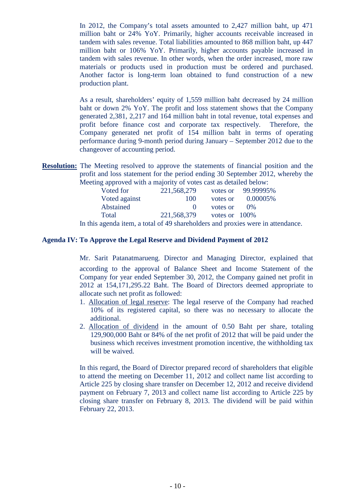In 2012, the Company's total assets amounted to 2,427 million baht, up 471 million baht or 24% YoY. Primarily, higher accounts receivable increased in tandem with sales revenue. Total liabilities amounted to 868 million baht, up 447 million baht or 106% YoY. Primarily, higher accounts payable increased in tandem with sales revenue. In other words, when the order increased, more raw materials or products used in production must be ordered and purchased. Another factor is long-term loan obtained to fund construction of a new production plant.

As a result, shareholders' equity of 1,559 million baht decreased by 24 million baht or down 2% YoY. The profit and loss statement shows that the Company generated 2,381, 2,217 and 164 million baht in total revenue, total expenses and profit before finance cost and corporate tax respectively. Therefore, the Company generated net profit of 154 million baht in terms of operating performance during 9-month period during January – September 2012 due to the changeover of accounting period.

**Resolution:** The Meeting resolved to approve the statements of financial position and the profit and loss statement for the period ending 30 September 2012, whereby the Meeting approved with a majority of votes cast as detailed below:

| .<br>Voted for | 221,568,279 |                  | votes or 99.99995% |
|----------------|-------------|------------------|--------------------|
| Voted against  | 100         | votes or         | 0.00005%           |
| Abstained      | $\cup$      | votes or         | $0\%$              |
| Total          | 221,568,379 | votes or $100\%$ |                    |
|                |             |                  |                    |

In this agenda item, a total of 49 shareholders and proxies were in attendance.

# **Agenda IV: To Approve the Legal Reserve and Dividend Payment of 2012**

Mr. Sarit Patanatmarueng, Director and Managing Director, explained that according to the approval of Balance Sheet and Income Statement of the Company for year ended September 30, 2012, the Company gained net profit in 2012 at 154,171,295.22 Baht. The Board of Directors deemed appropriate to allocate such net profit as followed:

- 1. Allocation of legal reserve: The legal reserve of the Company had reached 10% of its registered capital, so there was no necessary to allocate the additional.
- 2. Allocation of dividend in the amount of 0.50 Baht per share, totaling 129,900,000 Baht or 84% of the net profit of 2012 that will be paid under the business which receives investment promotion incentive, the withholding tax will be waived.

In this regard, the Board of Director prepared record of shareholders that eligible to attend the meeting on December 11, 2012 and collect name list according to Article 225 by closing share transfer on December 12, 2012 and receive dividend payment on February 7, 2013 and collect name list according to Article 225 by closing share transfer on February 8, 2013. The dividend will be paid within February 22, 2013.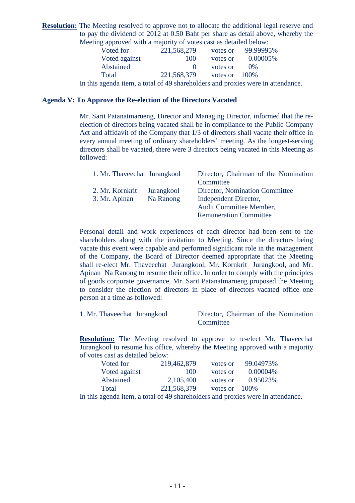**Resolution:** The Meeting resolved to approve not to allocate the additional legal reserve and to pay the dividend of 2012 at 0.50 Baht per share as detail above, whereby the Meeting approved with a majority of votes cast as detailed below:

| Voted for                                                                       | 221,568,279 | votes or         | 99.99995% |
|---------------------------------------------------------------------------------|-------------|------------------|-----------|
| Voted against                                                                   | 100         | votes or         | 0.00005%  |
| Abstained                                                                       |             | votes or         | $0\%$     |
| Total                                                                           | 221,568,379 | votes or $100\%$ |           |
| In this agenda item, a total of 49 shareholders and proxies were in attendance. |             |                  |           |

## **Agenda V: To Approve the Re-election of the Directors Vacated**

Mr. Sarit Patanatmarueng, Director and Managing Director, informed that the reelection of directors being vacated shall be in compliance to the Public Company Act and affidavit of the Company that 1/3 of directors shall vacate their office in every annual meeting of ordinary shareholders' meeting. As the longest-serving directors shall be vacated, there were 3 directors being vacated in this Meeting as followed:

| 1. Mr. Thaveechat Jurangkool |            | Director, Chairman of the Nomination |
|------------------------------|------------|--------------------------------------|
|                              |            | Committee                            |
| 2. Mr. Kornkrit              | Jurangkool | Director, Nomination Committee       |
| 3. Mr. Apinan                | Na Ranong  | Independent Director,                |
|                              |            | Audit Committee Member,              |
|                              |            | <b>Remuneration Committee</b>        |

Personal detail and work experiences of each director had been sent to the shareholders along with the invitation to Meeting. Since the directors being vacate this event were capable and performed significant role in the management of the Company, the Board of Director deemed appropriate that the Meeting shall re-elect Mr. Thaveechat Jurangkool, Mr. Kornkrit Jurangkool, and Mr. Apinan Na Ranong to resume their office. In order to comply with the principles of goods corporate governance, Mr. Sarit Patanatmarueng proposed the Meeting to consider the election of directors in place of directors vacated office one person at a time as followed:

| 1. Mr. Thaveechat Jurangkool | Director, Chairman of the Nomination |
|------------------------------|--------------------------------------|
|                              | Committee                            |

**Resolution:** The Meeting resolved to approve to re-elect Mr. Thaveechat Jurangkool to resume his office, whereby the Meeting approved with a majority of votes cast as detailed below:

| 219,462,879 | votes or | 99.04973% |
|-------------|----------|-----------|
| 100         | votes or | 0.00004%  |
| 2,105,400   | votes or | 0.95023%  |
| 221,568,379 | votes or | 100\%     |
|             |          |           |

In this agenda item, a total of 49 shareholders and proxies were in attendance.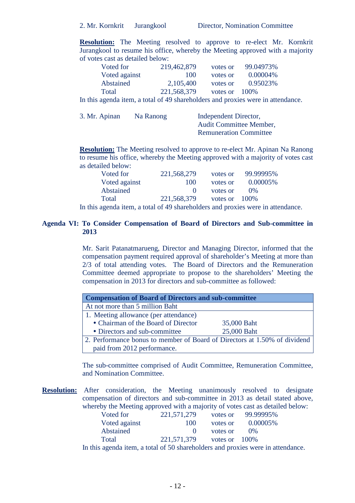**Resolution:** The Meeting resolved to approve to re-elect Mr. Kornkrit Jurangkool to resume his office, whereby the Meeting approved with a majority of votes cast as detailed below:

| Voted for     | 219,462,879 | votes or | 99.04973% |
|---------------|-------------|----------|-----------|
| Voted against | 100         | votes or | 0.00004\% |
| Abstained     | 2,105,400   | votes or | 0.95023%  |
| Total         | 221,568,379 | votes or | 100\%     |

In this agenda item, a total of 49 shareholders and proxies were in attendance.

| 3. Mr. Apinan<br>Na Ranong | Independent Director,         |  |
|----------------------------|-------------------------------|--|
|                            | Audit Committee Member,       |  |
|                            | <b>Remuneration Committee</b> |  |
|                            |                               |  |

**Resolution:** The Meeting resolved to approve to re-elect Mr. Apinan Na Ranong to resume his office, whereby the Meeting approved with a majority of votes cast as detailed below:

| Voted for        | 221,568,279 | votes or         | 99.99995% |
|------------------|-------------|------------------|-----------|
| Voted against    | 100         | votes or         | 0.00005%  |
| <b>Abstained</b> |             | votes or         | $0\%$     |
| Total            | 221,568,379 | votes or $100\%$ |           |

In this agenda item, a total of 49 shareholders and proxies were in attendance.

# **Agenda VI: To Consider Compensation of Board of Directors and Sub-committee in 2013**

Mr. Sarit Patanatmarueng, Director and Managing Director, informed that the compensation payment required approval of shareholder's Meeting at more than 2/3 of total attending votes. The Board of Directors and the Remuneration Committee deemed appropriate to propose to the shareholders' Meeting the compensation in 2013 for directors and sub-committee as followed:

| <b>Compensation of Board of Directors and sub-committee</b>               |             |  |  |
|---------------------------------------------------------------------------|-------------|--|--|
| At not more than 5 million Baht                                           |             |  |  |
| 1. Meeting allowance (per attendance)                                     |             |  |  |
| • Chairman of the Board of Director                                       | 35,000 Baht |  |  |
| • Directors and sub-committee                                             | 25,000 Baht |  |  |
| 2. Performance bonus to member of Board of Directors at 1.50% of dividend |             |  |  |
| paid from 2012 performance.                                               |             |  |  |

The sub-committee comprised of Audit Committee, Remuneration Committee, and Nomination Committee.

**Resolution:** After consideration, the Meeting unanimously resolved to designate compensation of directors and sub-committee in 2013 as detail stated above, whereby the Meeting approved with a majority of votes cast as detailed below:

| Voted for     | 221,571,279 | votes or         | 99.99995% |
|---------------|-------------|------------------|-----------|
| Voted against | 100         | votes or         | 0.00005\% |
| Abstained     |             | votes or         | (1)%      |
| Total         | 221,571,379 | votes or $100\%$ |           |

In this agenda item, a total of 50 shareholders and proxies were in attendance.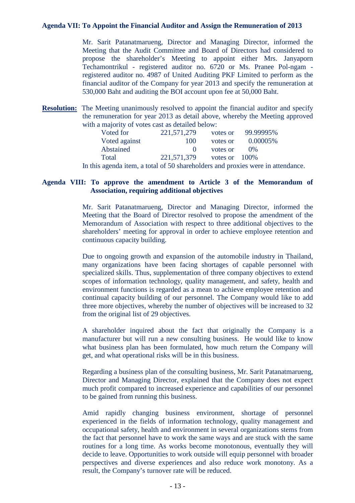## **Agenda VII: To Appoint the Financial Auditor and Assign the Remuneration of 2013**

Mr. Sarit Patanatmarueng, Director and Managing Director, informed the Meeting that the Audit Committee and Board of Directors had considered to propose the shareholder's Meeting to appoint either Mrs. Janyaporn Techamontrikul - registered auditor no. 6720 or Ms. Pranee Pol-ngam registered auditor no. 4987 of United Auditing PKF Limited to perform as the financial auditor of the Company for year 2013 and specify the remuneration at 530,000 Baht and auditing the BOI account upon fee at 50,000 Baht.

**Resolution:** The Meeting unanimously resolved to appoint the financial auditor and specify the remuneration for year 2013 as detail above, whereby the Meeting approved with a majority of votes cast as detailed below:

| Voted for                                                                       | 221,571,279 | votes or         | 99.99995% |  |  |
|---------------------------------------------------------------------------------|-------------|------------------|-----------|--|--|
| Voted against                                                                   | 100         | votes or         | 0.00005%  |  |  |
| Abstained                                                                       |             | votes or         | $0\%$     |  |  |
| Total                                                                           | 221,571,379 | votes or $100\%$ |           |  |  |
| In this agenda item, a total of 50 shareholders and proxies were in attendance. |             |                  |           |  |  |

# **Agenda VIII: To approve the amendment to Article 3 of the Memorandum of Association, requiring additional objectives**

Mr. Sarit Patanatmarueng, Director and Managing Director, informed the Meeting that the Board of Director resolved to propose the amendment of the Memorandum of Association with respect to three additional objectives to the shareholders' meeting for approval in order to achieve employee retention and continuous capacity building.

Due to ongoing growth and expansion of the automobile industry in Thailand, many organizations have been facing shortages of capable personnel with specialized skills. Thus, supplementation of three company objectives to extend scopes of information technology, quality management, and safety, health and environment functions is regarded as a mean to achieve employee retention and continual capacity building of our personnel. The Company would like to add three more objectives, whereby the number of objectives will be increased to 32 from the original list of 29 objectives.

A shareholder inquired about the fact that originally the Company is a manufacturer but will run a new consulting business. He would like to know what business plan has been formulated, how much return the Company will get, and what operational risks will be in this business.

Regarding a business plan of the consulting business, Mr. Sarit Patanatmarueng, Director and Managing Director, explained that the Company does not expect much profit compared to increased experience and capabilities of our personnel to be gained from running this business.

Amid rapidly changing business environment, shortage of personnel experienced in the fields of information technology, quality management and occupational safety, health and environment in several organizations stems from the fact that personnel have to work the same ways and are stuck with the same routines for a long time. As works become monotonous, eventually they will decide to leave. Opportunities to work outside will equip personnel with broader perspectives and diverse experiences and also reduce work monotony. As a result, the Company's turnover rate will be reduced.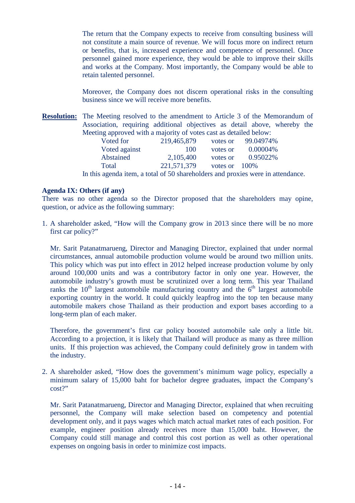The return that the Company expects to receive from consulting business will not constitute a main source of revenue. We will focus more on indirect return or benefits, that is, increased experience and competence of personnel. Once personnel gained more experience, they would be able to improve their skills and works at the Company. Most importantly, the Company would be able to retain talented personnel.

Moreover, the Company does not discern operational risks in the consulting business since we will receive more benefits.

**Resolution:** The Meeting resolved to the amendment to Article 3 of the Memorandum of Association, requiring additional objectives as detail above, whereby the Meeting approved with a majority of votes cast as detailed below:

| Voted for     | 219,465,879 | votes or | 99.04974% |
|---------------|-------------|----------|-----------|
| Voted against | 100         | votes or | 0.00004%  |
| Abstained     | 2,105,400   | votes or | 0.95022%  |
| Total         | 221,571,379 | votes or | 100\%     |
|               |             |          |           |

In this agenda item, a total of 50 shareholders and proxies were in attendance.

#### **Agenda IX: Others (if any)**

There was no other agenda so the Director proposed that the shareholders may opine, question, or advice as the following summary:

1. A shareholder asked, "How will the Company grow in 2013 since there will be no more first car policy?"

Mr. Sarit Patanatmarueng, Director and Managing Director, explained that under normal circumstances, annual automobile production volume would be around two million units. This policy which was put into effect in 2012 helped increase production volume by only around 100,000 units and was a contributory factor in only one year. However, the automobile industry's growth must be scrutinized over a long term. This year Thailand ranks the  $10<sup>th</sup>$  largest automobile manufacturing country and the  $6<sup>th</sup>$  largest automobile exporting country in the world. It could quickly leapfrog into the top ten because many automobile makers chose Thailand as their production and export bases according to a long-term plan of each maker.

Therefore, the government's first car policy boosted automobile sale only a little bit. According to a projection, it is likely that Thailand will produce as many as three million units. If this projection was achieved, the Company could definitely grow in tandem with the industry.

2. A shareholder asked, "How does the government's minimum wage policy, especially a minimum salary of 15,000 baht for bachelor degree graduates, impact the Company's cost?"

Mr. Sarit Patanatmarueng, Director and Managing Director, explained that when recruiting personnel, the Company will make selection based on competency and potential development only, and it pays wages which match actual market rates of each position. For example, engineer position already receives more than 15,000 baht. However, the Company could still manage and control this cost portion as well as other operational expenses on ongoing basis in order to minimize cost impacts.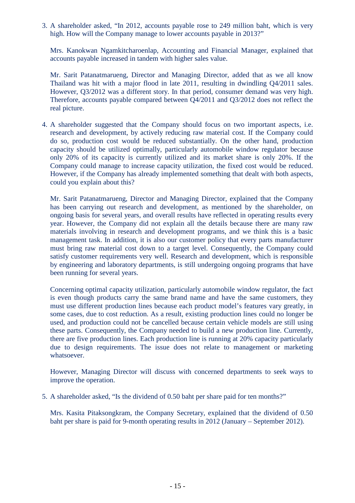3. A shareholder asked, "In 2012, accounts payable rose to 249 million baht, which is very high. How will the Company manage to lower accounts payable in 2013?"

Mrs. Kanokwan Ngamkitcharoenlap, Accounting and Financial Manager, explained that accounts payable increased in tandem with higher sales value.

Mr. Sarit Patanatmarueng, Director and Managing Director, added that as we all know Thailand was hit with a major flood in late 2011, resulting in dwindling Q4/2011 sales. However, Q3/2012 was a different story. In that period, consumer demand was very high. Therefore, accounts payable compared between Q4/2011 and Q3/2012 does not reflect the real picture.

4. A shareholder suggested that the Company should focus on two important aspects, i.e. research and development, by actively reducing raw material cost. If the Company could do so, production cost would be reduced substantially. On the other hand, production capacity should be utilized optimally, particularly automobile window regulator because only 20% of its capacity is currently utilized and its market share is only 20%. If the Company could manage to increase capacity utilization, the fixed cost would be reduced. However, if the Company has already implemented something that dealt with both aspects, could you explain about this?

Mr. Sarit Patanatmarueng, Director and Managing Director, explained that the Company has been carrying out research and development, as mentioned by the shareholder, on ongoing basis for several years, and overall results have reflected in operating results every year. However, the Company did not explain all the details because there are many raw materials involving in research and development programs, and we think this is a basic management task. In addition, it is also our customer policy that every parts manufacturer must bring raw material cost down to a target level. Consequently, the Company could satisfy customer requirements very well. Research and development, which is responsible by engineering and laboratory departments, is still undergoing ongoing programs that have been running for several years.

 Concerning optimal capacity utilization, particularly automobile window regulator, the fact is even though products carry the same brand name and have the same customers, they must use different production lines because each product model's features vary greatly, in some cases, due to cost reduction. As a result, existing production lines could no longer be used, and production could not be cancelled because certain vehicle models are still using these parts. Consequently, the Company needed to build a new production line. Currently, there are five production lines. Each production line is running at 20% capacity particularly due to design requirements. The issue does not relate to management or marketing whatsoever.

 However, Managing Director will discuss with concerned departments to seek ways to improve the operation.

5. A shareholder asked, "Is the dividend of 0.50 baht per share paid for ten months?"

Mrs. Kasita Pitaksongkram, the Company Secretary, explained that the dividend of 0.50 baht per share is paid for 9-month operating results in 2012 (January – September 2012).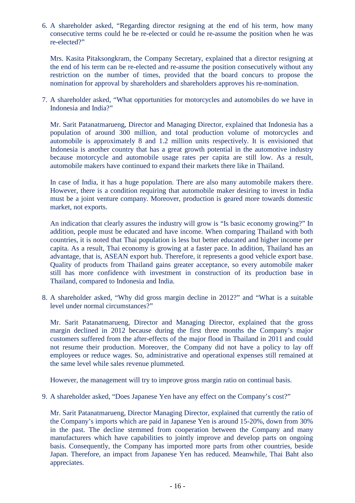6. A shareholder asked, "Regarding director resigning at the end of his term, how many consecutive terms could he be re-elected or could he re-assume the position when he was re-elected?"

Mrs. Kasita Pitaksongkram, the Company Secretary, explained that a director resigning at the end of his term can be re-elected and re-assume the position consecutively without any restriction on the number of times, provided that the board concurs to propose the nomination for approval by shareholders and shareholders approves his re-nomination.

7. A shareholder asked, "What opportunities for motorcycles and automobiles do we have in Indonesia and India?"

Mr. Sarit Patanatmarueng, Director and Managing Director, explained that Indonesia has a population of around 300 million, and total production volume of motorcycles and automobile is approximately 8 and 1.2 million units respectively. It is envisioned that Indonesia is another country that has a great growth potential in the automotive industry because motorcycle and automobile usage rates per capita are still low. As a result, automobile makers have continued to expand their markets there like in Thailand.

In case of India, it has a huge population. There are also many automobile makers there. However, there is a condition requiring that automobile maker desiring to invest in India must be a joint venture company. Moreover, production is geared more towards domestic market, not exports.

An indication that clearly assures the industry will grow is "Is basic economy growing?" In addition, people must be educated and have income. When comparing Thailand with both countries, it is noted that Thai population is less but better educated and higher income per capita. As a result, Thai economy is growing at a faster pace. In addition, Thailand has an advantage, that is, ASEAN export hub. Therefore, it represents a good vehicle export base. Quality of products from Thailand gains greater acceptance, so every automobile maker still has more confidence with investment in construction of its production base in Thailand, compared to Indonesia and India.

8. A shareholder asked, "Why did gross margin decline in 2012?" and "What is a suitable level under normal circumstances?"

Mr. Sarit Patanatmarueng, Director and Managing Director, explained that the gross margin declined in 2012 because during the first three months the Company's major customers suffered from the after-effects of the major flood in Thailand in 2011 and could not resume their production. Moreover, the Company did not have a policy to lay off employees or reduce wages. So, administrative and operational expenses still remained at the same level while sales revenue plummeted.

However, the management will try to improve gross margin ratio on continual basis.

9. A shareholder asked, "Does Japanese Yen have any effect on the Company's cost?"

Mr. Sarit Patanatmarueng, Director Managing Director, explained that currently the ratio of the Company's imports which are paid in Japanese Yen is around 15-20%, down from 30% in the past. The decline stemmed from cooperation between the Company and many manufacturers which have capabilities to jointly improve and develop parts on ongoing basis. Consequently, the Company has imported more parts from other countries, beside Japan. Therefore, an impact from Japanese Yen has reduced. Meanwhile, Thai Baht also appreciates.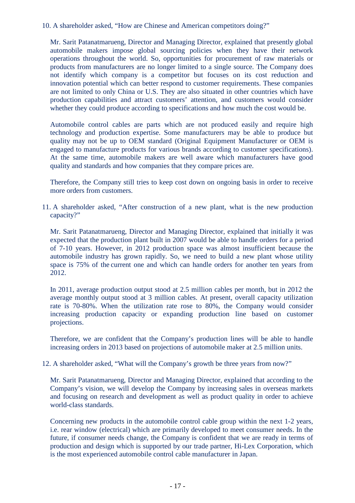10. A shareholder asked, "How are Chinese and American competitors doing?"

Mr. Sarit Patanatmarueng, Director and Managing Director, explained that presently global automobile makers impose global sourcing policies when they have their network operations throughout the world. So, opportunities for procurement of raw materials or products from manufacturers are no longer limited to a single source. The Company does not identify which company is a competitor but focuses on its cost reduction and innovation potential which can better respond to customer requirements. These companies are not limited to only China or U.S. They are also situated in other countries which have production capabilities and attract customers' attention, and customers would consider whether they could produce according to specifications and how much the cost would be.

Automobile control cables are parts which are not produced easily and require high technology and production expertise. Some manufacturers may be able to produce but quality may not be up to OEM standard (Original Equipment Manufacturer or OEM is engaged to manufacture products for various brands according to customer specifications). At the same time, automobile makers are well aware which manufacturers have good quality and standards and how companies that they compare prices are.

Therefore, the Company still tries to keep cost down on ongoing basis in order to receive more orders from customers.

11. A shareholder asked, "After construction of a new plant, what is the new production capacity?"

Mr. Sarit Patanatmarueng, Director and Managing Director, explained that initially it was expected that the production plant built in 2007 would be able to handle orders for a period of 7-10 years. However, in 2012 production space was almost insufficient because the automobile industry has grown rapidly. So, we need to build a new plant whose utility space is 75% of the current one and which can handle orders for another ten years from 2012.

In 2011, average production output stood at 2.5 million cables per month, but in 2012 the average monthly output stood at 3 million cables. At present, overall capacity utilization rate is 70-80%. When the utilization rate rose to 80%, the Company would consider increasing production capacity or expanding production line based on customer projections.

Therefore, we are confident that the Company's production lines will be able to handle increasing orders in 2013 based on projections of automobile maker at 2.5 million units.

12. A shareholder asked, "What will the Company's growth be three years from now?"

Mr. Sarit Patanatmarueng, Director and Managing Director, explained that according to the Company's vision, we will develop the Company by increasing sales in overseas markets and focusing on research and development as well as product quality in order to achieve world-class standards.

Concerning new products in the automobile control cable group within the next 1-2 years, i.e. rear window (electrical) which are primarily developed to meet consumer needs. In the future, if consumer needs change, the Company is confident that we are ready in terms of production and design which is supported by our trade partner, Hi-Lex Corporation, which is the most experienced automobile control cable manufacturer in Japan.